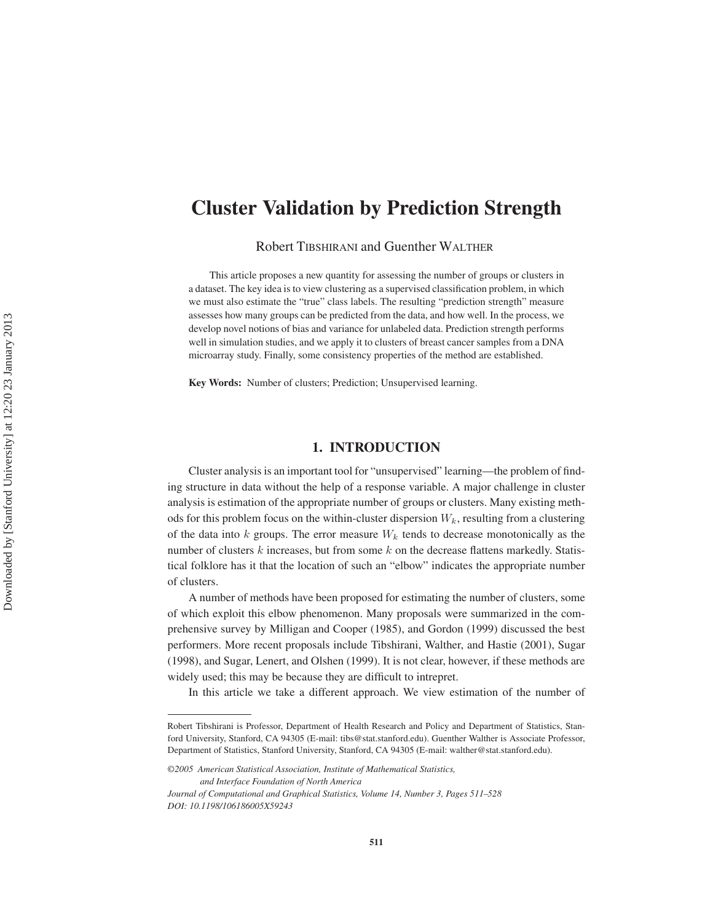# **Cluster Validation by Prediction Strength**

Robert TIBSHIRANI and Guenther WALTHER

This article proposes a new quantity for assessing the number of groups or clusters in a dataset. The key idea is to view clustering as a supervised classification problem, in which we must also estimate the "true" class labels. The resulting "prediction strength" measure assesses how many groups can be predicted from the data, and how well. In the process, we develop novel notions of bias and variance for unlabeled data. Prediction strength performs well in simulation studies, and we apply it to clusters of breast cancer samples from a DNA microarray study. Finally, some consistency properties of the method are established.

**Key Words:** Number of clusters; Prediction; Unsupervised learning.

### **1. INTRODUCTION**

Cluster analysis is an important tool for "unsupervised" learning—the problem of finding structure in data without the help of a response variable. A major challenge in cluster analysis is estimation of the appropriate number of groups or clusters. Many existing methods for this problem focus on the within-cluster dispersion  $W_k$ , resulting from a clustering of the data into k groups. The error measure  $W_k$  tends to decrease monotonically as the number of clusters  $k$  increases, but from some  $k$  on the decrease flattens markedly. Statistical folklore has it that the location of such an "elbow" indicates the appropriate number of clusters.

A number of methods have been proposed for estimating the number of clusters, some of which exploit this elbow phenomenon. Many proposals were summarized in the comprehensive survey by Milligan and Cooper (1985), and Gordon (1999) discussed the best performers. More recent proposals include Tibshirani, Walther, and Hastie (2001), Sugar (1998), and Sugar, Lenert, and Olshen (1999). It is not clear, however, if these methods are widely used; this may be because they are difficult to intrepret.

In this article we take a different approach. We view estimation of the number of

Robert Tibshirani is Professor, Department of Health Research and Policy and Department of Statistics, Stanford University, Stanford, CA 94305 (E-mail: tibs@stat.stanford.edu). Guenther Walther is Associate Professor, Department of Statistics, Stanford University, Stanford, CA 94305 (E-mail: walther@stat.stanford.edu).

*<sup>©2005</sup> American Statistical Association, Institute of Mathematical Statistics, and Interface Foundation of North America*

*Journal of Computational and Graphical Statistics, Volume 14, Number 3, Pages 511–528 DOI: 10.1198/106186005X59243*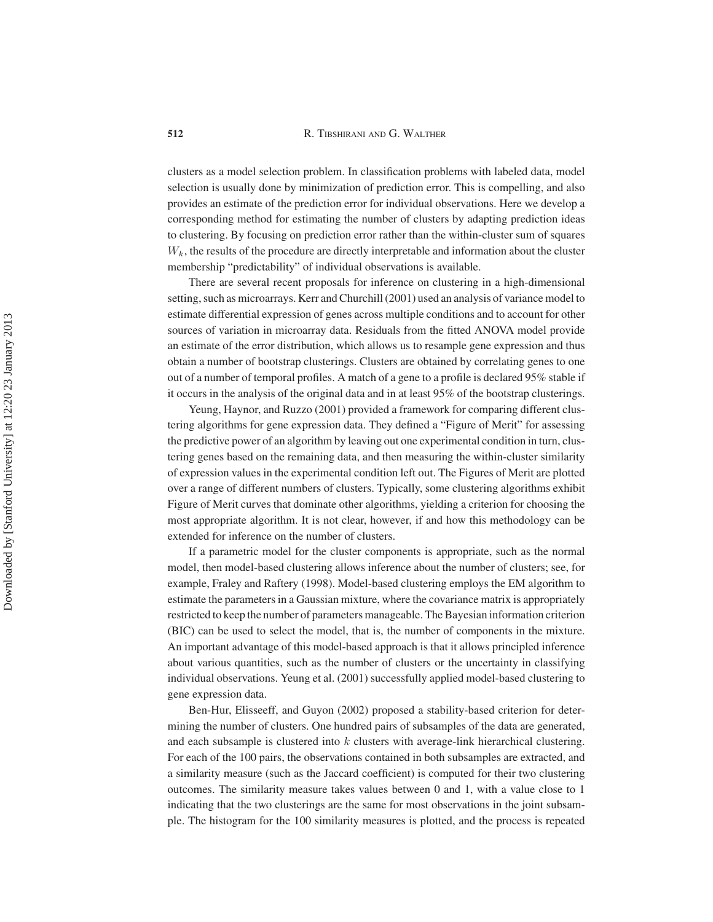clusters as a model selection problem. In classification problems with labeled data, model selection is usually done by minimization of prediction error. This is compelling, and also provides an estimate of the prediction error for individual observations. Here we develop a corresponding method for estimating the number of clusters by adapting prediction ideas to clustering. By focusing on prediction error rather than the within-cluster sum of squares  $W_k$ , the results of the procedure are directly interpretable and information about the cluster membership "predictability" of individual observations is available.

There are several recent proposals for inference on clustering in a high-dimensional setting, such as microarrays. Kerr and Churchill (2001) used an analysis of variance model to estimate differential expression of genes across multiple conditions and to account for other sources of variation in microarray data. Residuals from the fitted ANOVA model provide an estimate of the error distribution, which allows us to resample gene expression and thus obtain a number of bootstrap clusterings. Clusters are obtained by correlating genes to one out of a number of temporal profiles. A match of a gene to a profile is declared 95% stable if it occurs in the analysis of the original data and in at least 95% of the bootstrap clusterings.

Yeung, Haynor, and Ruzzo (2001) provided a framework for comparing different clustering algorithms for gene expression data. They defined a "Figure of Merit" for assessing the predictive power of an algorithm by leaving out one experimental condition in turn, clustering genes based on the remaining data, and then measuring the within-cluster similarity of expression values in the experimental condition left out. The Figures of Merit are plotted over a range of different numbers of clusters. Typically, some clustering algorithms exhibit Figure of Merit curves that dominate other algorithms, yielding a criterion for choosing the most appropriate algorithm. It is not clear, however, if and how this methodology can be extended for inference on the number of clusters.

If a parametric model for the cluster components is appropriate, such as the normal model, then model-based clustering allows inference about the number of clusters; see, for example, Fraley and Raftery (1998). Model-based clustering employs the EM algorithm to estimate the parameters in a Gaussian mixture, where the covariance matrix is appropriately restricted to keep the number of parameters manageable. The Bayesian information criterion (BIC) can be used to select the model, that is, the number of components in the mixture. An important advantage of this model-based approach is that it allows principled inference about various quantities, such as the number of clusters or the uncertainty in classifying individual observations. Yeung et al. (2001) successfully applied model-based clustering to gene expression data.

Ben-Hur, Elisseeff, and Guyon (2002) proposed a stability-based criterion for determining the number of clusters. One hundred pairs of subsamples of the data are generated, and each subsample is clustered into  $k$  clusters with average-link hierarchical clustering. For each of the 100 pairs, the observations contained in both subsamples are extracted, and a similarity measure (such as the Jaccard coefficient) is computed for their two clustering outcomes. The similarity measure takes values between 0 and 1, with a value close to 1 indicating that the two clusterings are the same for most observations in the joint subsample. The histogram for the 100 similarity measures is plotted, and the process is repeated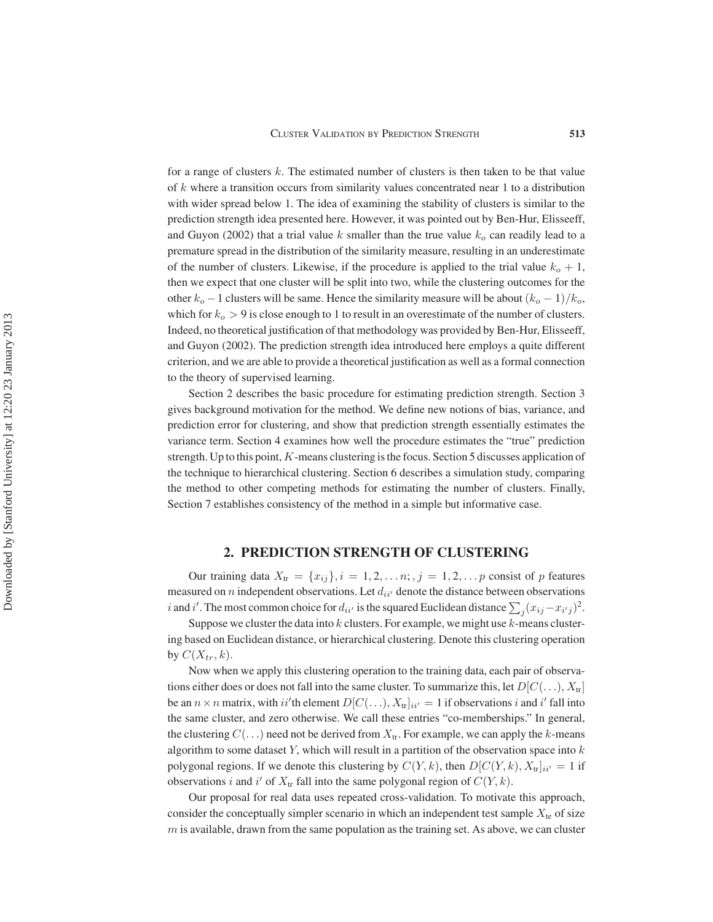for a range of clusters k. The estimated number of clusters is then taken to be that value of k where a transition occurs from similarity values concentrated near 1 to a distribution with wider spread below 1. The idea of examining the stability of clusters is similar to the prediction strength idea presented here. However, it was pointed out by Ben-Hur, Elisseeff, and Guyon (2002) that a trial value k smaller than the true value  $k_o$  can readily lead to a premature spread in the distribution of the similarity measure, resulting in an underestimate of the number of clusters. Likewise, if the procedure is applied to the trial value  $k_o + 1$ , then we expect that one cluster will be split into two, while the clustering outcomes for the other  $k_o - 1$  clusters will be same. Hence the similarity measure will be about  $(k_o - 1)/k_o$ , which for  $k_o > 9$  is close enough to 1 to result in an overestimate of the number of clusters. Indeed, no theoretical justification of that methodology was provided by Ben-Hur, Elisseeff, and Guyon (2002). The prediction strength idea introduced here employs a quite different criterion, and we are able to provide a theoretical justification as well as a formal connection to the theory of supervised learning.

Section 2 describes the basic procedure for estimating prediction strength. Section 3 gives background motivation for the method. We define new notions of bias, variance, and prediction error for clustering, and show that prediction strength essentially estimates the variance term. Section 4 examines how well the procedure estimates the "true" prediction strength. Up to this point, K-means clustering is the focus. Section 5 discusses application of the technique to hierarchical clustering. Section 6 describes a simulation study, comparing the method to other competing methods for estimating the number of clusters. Finally, Section 7 establishes consistency of the method in a simple but informative case.

### **2. PREDICTION STRENGTH OF CLUSTERING**

Our training data  $X_{tr} = \{x_{ij}\}, i = 1, 2, ..., n; j = 1, 2, ..., p$  consist of p features measured on *n* independent observations. Let  $d_{ii'}$  denote the distance between observations i and i'. The most common choice for  $d_{ii'}$  is the squared Euclidean distance  $\sum_j (x_{ij} - x_{i'j})^2$ .

Suppose we cluster the data into  $k$  clusters. For example, we might use  $k$ -means clustering based on Euclidean distance, or hierarchical clustering. Denote this clustering operation by  $C(X_{tr}, k)$ .

Now when we apply this clustering operation to the training data, each pair of observations either does or does not fall into the same cluster. To summarize this, let  $D[C(\ldots), X_{tr}]$ be an  $n \times n$  matrix, with ii'th element  $D[C(\ldots), X_{tr}]_{ii'} = 1$  if observations i and i' fall into the same cluster, and zero otherwise. We call these entries "co-memberships." In general, the clustering  $C(\ldots)$  need not be derived from  $X_{tr}$ . For example, we can apply the k-means algorithm to some dataset Y, which will result in a partition of the observation space into  $k$ polygonal regions. If we denote this clustering by  $C(Y, k)$ , then  $D[C(Y, k), X_{tr}]_{ii'} = 1$  if observations *i* and *i'* of  $X_{tr}$  fall into the same polygonal region of  $C(Y, k)$ .

Our proposal for real data uses repeated cross-validation. To motivate this approach, consider the conceptually simpler scenario in which an independent test sample  $X_{te}$  of size  $m$  is available, drawn from the same population as the training set. As above, we can cluster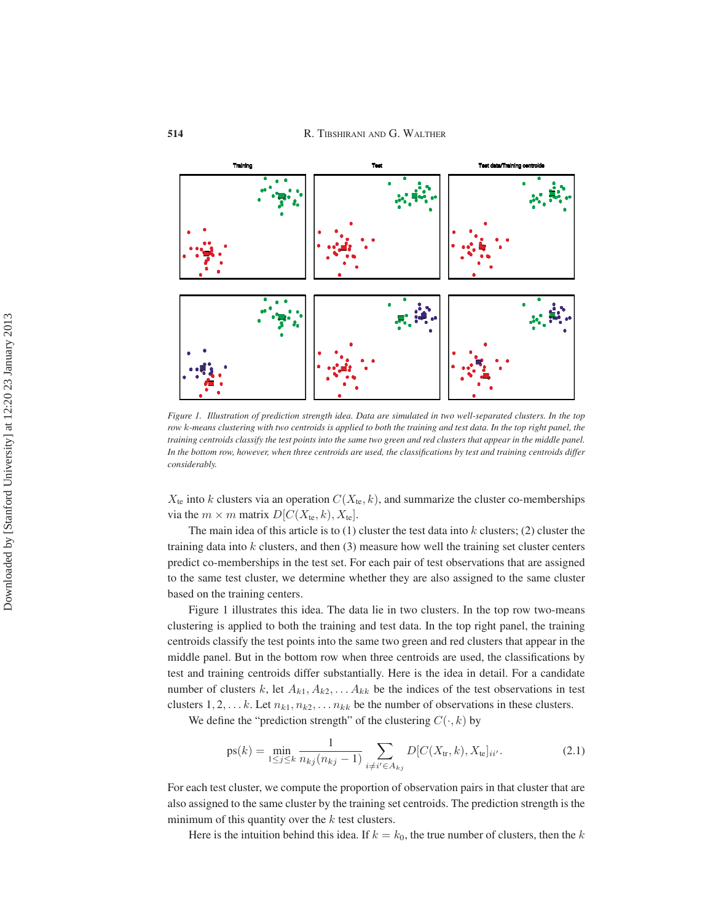

*Figure 1. Illustration of prediction strength idea. Data are simulated in two well-separated clusters. In the top row* k*-means clustering with two centroids is applied to both the training and test data. In the top right panel, the training centroids classify the test points into the same two green and red clusters that appear in the middle panel. In the bottom row, however, when three centroids are used, the classifications by test and training centroids differ considerably.*

 $X_{te}$  into k clusters via an operation  $C(X_{te}, k)$ , and summarize the cluster co-memberships via the  $m \times m$  matrix  $D[C(X_{te}, k), X_{te}].$ 

The main idea of this article is to  $(1)$  cluster the test data into  $k$  clusters;  $(2)$  cluster the training data into  $k$  clusters, and then  $(3)$  measure how well the training set cluster centers predict co-memberships in the test set. For each pair of test observations that are assigned to the same test cluster, we determine whether they are also assigned to the same cluster based on the training centers.

Figure 1 illustrates this idea. The data lie in two clusters. In the top row two-means clustering is applied to both the training and test data. In the top right panel, the training centroids classify the test points into the same two green and red clusters that appear in the middle panel. But in the bottom row when three centroids are used, the classifications by test and training centroids differ substantially. Here is the idea in detail. For a candidate number of clusters k, let  $A_{k1}, A_{k2}, \ldots A_{kk}$  be the indices of the test observations in test clusters  $1, 2, \ldots k$ . Let  $n_{k1}, n_{k2}, \ldots n_{kk}$  be the number of observations in these clusters.

We define the "prediction strength" of the clustering  $C(\cdot, k)$  by

$$
ps(k) = \min_{1 \le j \le k} \frac{1}{n_{kj}(n_{kj} - 1)} \sum_{i \ne i' \in A_{kj}} D[C(X_{tr}, k), X_{te}]_{ii'}.
$$
 (2.1)

For each test cluster, we compute the proportion of observation pairs in that cluster that are also assigned to the same cluster by the training set centroids. The prediction strength is the minimum of this quantity over the  $k$  test clusters.

Here is the intuition behind this idea. If  $k = k_0$ , the true number of clusters, then the k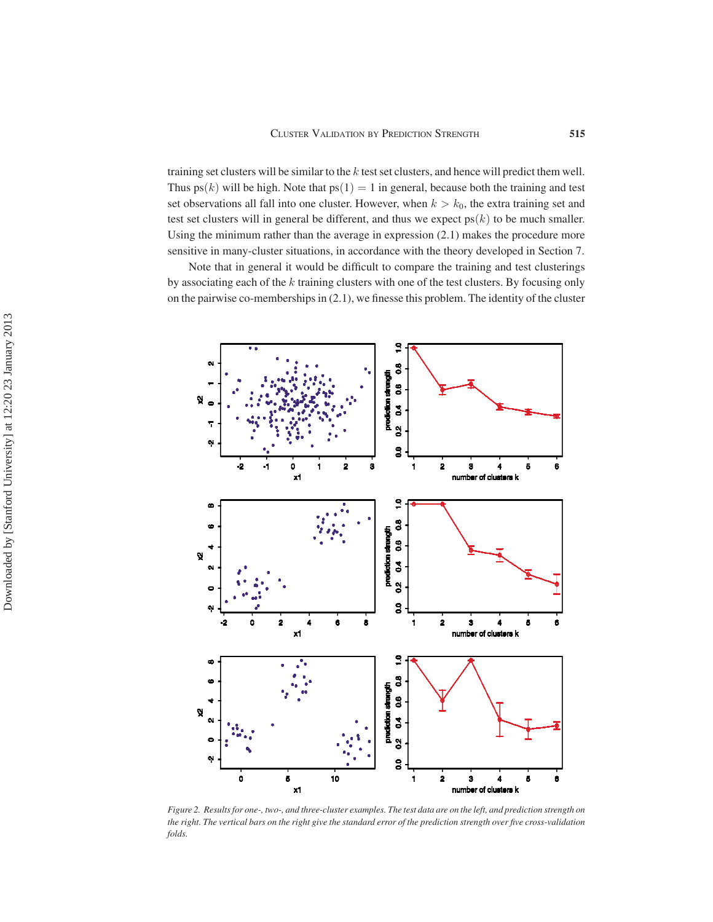training set clusters will be similar to the  $k$  test set clusters, and hence will predict them well. Thus ps(k) will be high. Note that  $ps(1) = 1$  in general, because both the training and test set observations all fall into one cluster. However, when  $k > k_0$ , the extra training set and test set clusters will in general be different, and thus we expect  $ps(k)$  to be much smaller. Using the minimum rather than the average in expression (2.1) makes the procedure more sensitive in many-cluster situations, in accordance with the theory developed in Section 7.

Note that in general it would be difficult to compare the training and test clusterings by associating each of the k training clusters with one of the test clusters. By focusing only on the pairwise co-memberships in (2.1), we finesse this problem. The identity of the cluster



*Figure 2. Results for one-, two-, and three-cluster examples. The test data are on the left, and prediction strength on the right. The vertical bars on the right give the standard error of the prediction strength over five cross-validation folds.*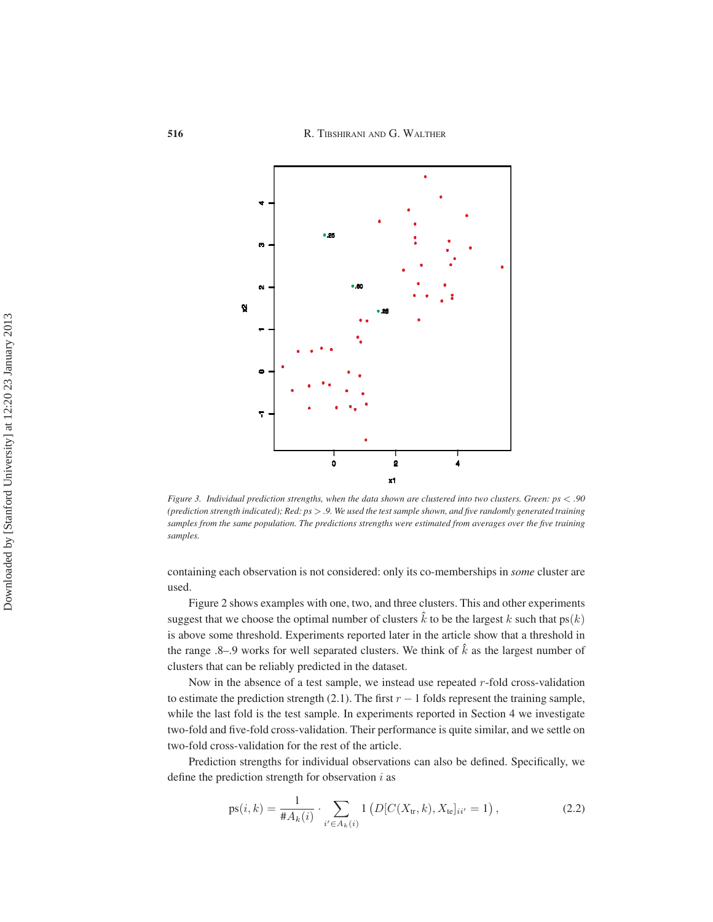

*Figure 3. Individual prediction strengths, when the data shown are clustered into two clusters. Green: ps* < *.90 (prediction strength indicated); Red: ps* > *.9. We used the test sample shown, and five randomly generated training samples from the same population. The predictions strengths were estimated from averages over the five training samples.*

containing each observation is not considered: only its co-memberships in *some* cluster are used.

Figure 2 shows examples with one, two, and three clusters. This and other experiments suggest that we choose the optimal number of clusters  $\hat{k}$  to be the largest k such that  $ps(k)$ is above some threshold. Experiments reported later in the article show that a threshold in the range .8–.9 works for well separated clusters. We think of  $\hat{k}$  as the largest number of clusters that can be reliably predicted in the dataset.

Now in the absence of a test sample, we instead use repeated  $r$ -fold cross-validation to estimate the prediction strength (2.1). The first  $r - 1$  folds represent the training sample, while the last fold is the test sample. In experiments reported in Section 4 we investigate two-fold and five-fold cross-validation. Their performance is quite similar, and we settle on two-fold cross-validation for the rest of the article.

Prediction strengths for individual observations can also be defined. Specifically, we define the prediction strength for observation  $i$  as

$$
ps(i,k) = \frac{1}{\#A_k(i)} \cdot \sum_{i' \in A_k(i)} 1\left(D[C(X_{tr},k), X_{te}]_{ii'} = 1\right),\tag{2.2}
$$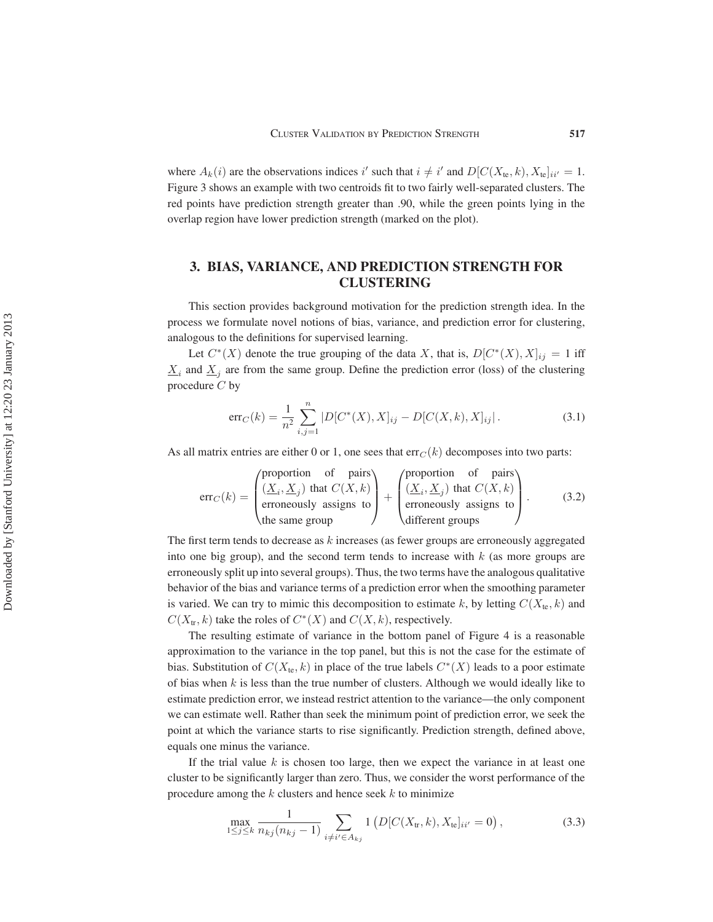where  $A_k(i)$  are the observations indices i' such that  $i \neq i'$  and  $D[C(X_{te},k), X_{te}]_{ii'} = 1$ . Figure 3 shows an example with two centroids fit to two fairly well-separated clusters. The red points have prediction strength greater than .90, while the green points lying in the overlap region have lower prediction strength (marked on the plot).

# **3. BIAS, VARIANCE, AND PREDICTION STRENGTH FOR CLUSTERING**

This section provides background motivation for the prediction strength idea. In the process we formulate novel notions of bias, variance, and prediction error for clustering, analogous to the definitions for supervised learning.

Let  $C^*(X)$  denote the true grouping of the data X, that is,  $D[C^*(X), X]_{ij} = 1$  iff  $\underline{X}_i$  and  $\underline{X}_j$  are from the same group. Define the prediction error (loss) of the clustering procedure C by

$$
err_C(k) = \frac{1}{n^2} \sum_{i,j=1}^{n} |D[C^*(X), X]_{ij} - D[C(X, k), X]_{ij}|.
$$
 (3.1)

As all matrix entries are either 0 or 1, one sees that  $err_C(k)$  decomposes into two parts:

$$
err_C(k) = \begin{pmatrix} \text{proportion of pairs} \\ (\underline{X}_i, \underline{X}_j) \text{ that } C(X, k) \\ \text{erroneously assigns to} \\ \text{the same group} \end{pmatrix} + \begin{pmatrix} \text{proportion of pairs} \\ (\underline{X}_i, \underline{X}_j) \text{ that } C(X, k) \\ \text{erroneously assigns to} \\ \text{different groups} \end{pmatrix}.
$$
 (3.2)

The first term tends to decrease as  $k$  increases (as fewer groups are erroneously aggregated into one big group), and the second term tends to increase with  $k$  (as more groups are erroneously split up into several groups). Thus, the two terms have the analogous qualitative behavior of the bias and variance terms of a prediction error when the smoothing parameter is varied. We can try to mimic this decomposition to estimate k, by letting  $C(X_{te}, k)$  and  $C(X_{tr}, k)$  take the roles of  $C^*(X)$  and  $C(X, k)$ , respectively.

The resulting estimate of variance in the bottom panel of Figure 4 is a reasonable approximation to the variance in the top panel, but this is not the case for the estimate of bias. Substitution of  $C(X_{te}, k)$  in place of the true labels  $C^*(X)$  leads to a poor estimate of bias when  $k$  is less than the true number of clusters. Although we would ideally like to estimate prediction error, we instead restrict attention to the variance—the only component we can estimate well. Rather than seek the minimum point of prediction error, we seek the point at which the variance starts to rise significantly. Prediction strength, defined above, equals one minus the variance.

If the trial value  $k$  is chosen too large, then we expect the variance in at least one cluster to be significantly larger than zero. Thus, we consider the worst performance of the procedure among the  $k$  clusters and hence seek  $k$  to minimize

$$
\max_{1 \le j \le k} \frac{1}{n_{kj}(n_{kj} - 1)} \sum_{i \ne i' \in A_{kj}} 1\left(D[C(X_{\text{tr}}, k), X_{\text{te}}]_{ii'} = 0\right),\tag{3.3}
$$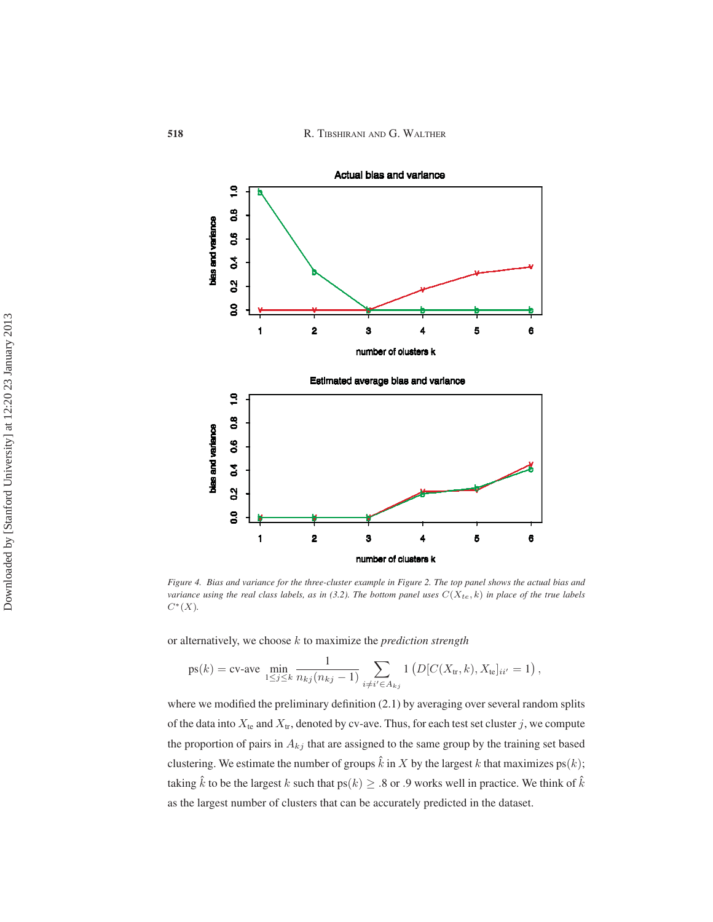

*Figure 4. Bias and variance for the three-cluster example in Figure 2. The top panel shows the actual bias and variance using the real class labels, as in (3.2). The bottom panel uses*  $C(X_{te}, k)$  *in place of the true labels*  $C^*(X)$ .

or alternatively, we choose k to maximize the *prediction strength*

ps(k) = cv-ave 
$$
\min_{1 \le j \le k} \frac{1}{n_{kj}(n_{kj}-1)} \sum_{i \ne i' \in A_{kj}} 1 (D[C(X_{tr}, k), X_{te}]_{ii'} = 1)
$$
,

where we modified the preliminary definition  $(2.1)$  by averaging over several random splits of the data into  $X_{te}$  and  $X_{tr}$ , denoted by cv-ave. Thus, for each test set cluster j, we compute the proportion of pairs in  $A_{kj}$  that are assigned to the same group by the training set based clustering. We estimate the number of groups  $\hat{k}$  in X by the largest k that maximizes ps(k); taking  $\hat{k}$  to be the largest k such that ps(k)  $\geq$  .8 or .9 works well in practice. We think of  $\hat{k}$ as the largest number of clusters that can be accurately predicted in the dataset.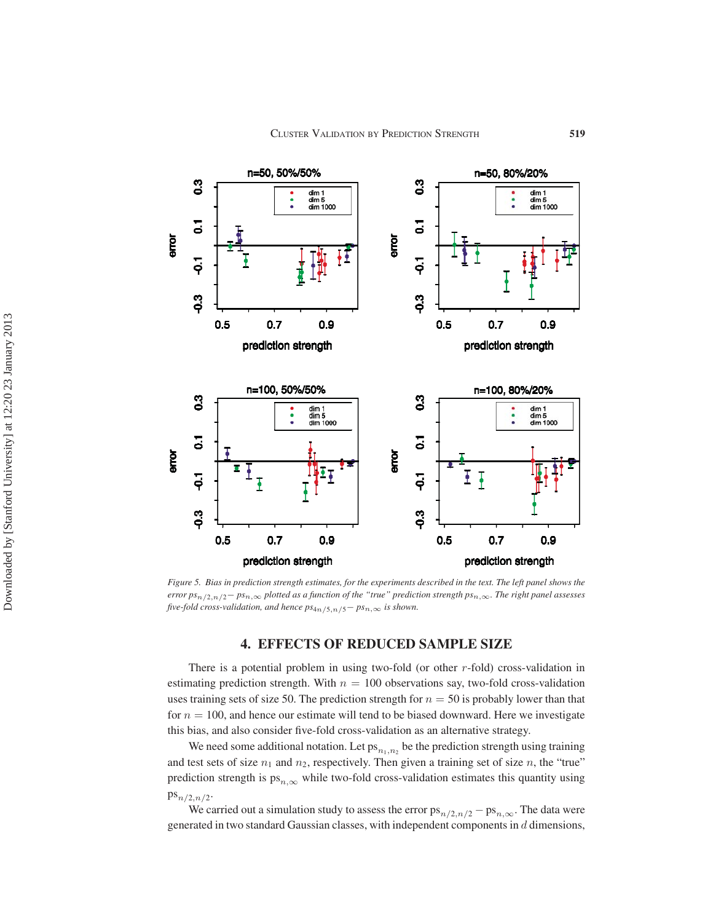

*Figure 5. Bias in prediction strength estimates, for the experiments described in the text. The left panel shows the error ps*n/2,n/2− *ps*n,<sup>∞</sup> *plotted as a function of the "true" prediction strength ps*n,∞*. The right panel assesses five-fold cross-validation, and hence*  $ps_{4n/5,n/5} - ps_{n,\infty}$  *is shown.* 

#### **4. EFFECTS OF REDUCED SAMPLE SIZE**

There is a potential problem in using two-fold (or other  $r$ -fold) cross-validation in estimating prediction strength. With  $n = 100$  observations say, two-fold cross-validation uses training sets of size 50. The prediction strength for  $n = 50$  is probably lower than that for  $n = 100$ , and hence our estimate will tend to be biased downward. Here we investigate this bias, and also consider five-fold cross-validation as an alternative strategy.

We need some additional notation. Let  $ps_{n_1,n_2}$  be the prediction strength using training and test sets of size  $n_1$  and  $n_2$ , respectively. Then given a training set of size n, the "true" prediction strength is  $ps_{n,\infty}$  while two-fold cross-validation estimates this quantity using  $ps_{n/2,n/2}$ .

We carried out a simulation study to assess the error  $ps_{n/2,n/2} - ps_{n,\infty}$ . The data were generated in two standard Gaussian classes, with independent components in  $d$  dimensions,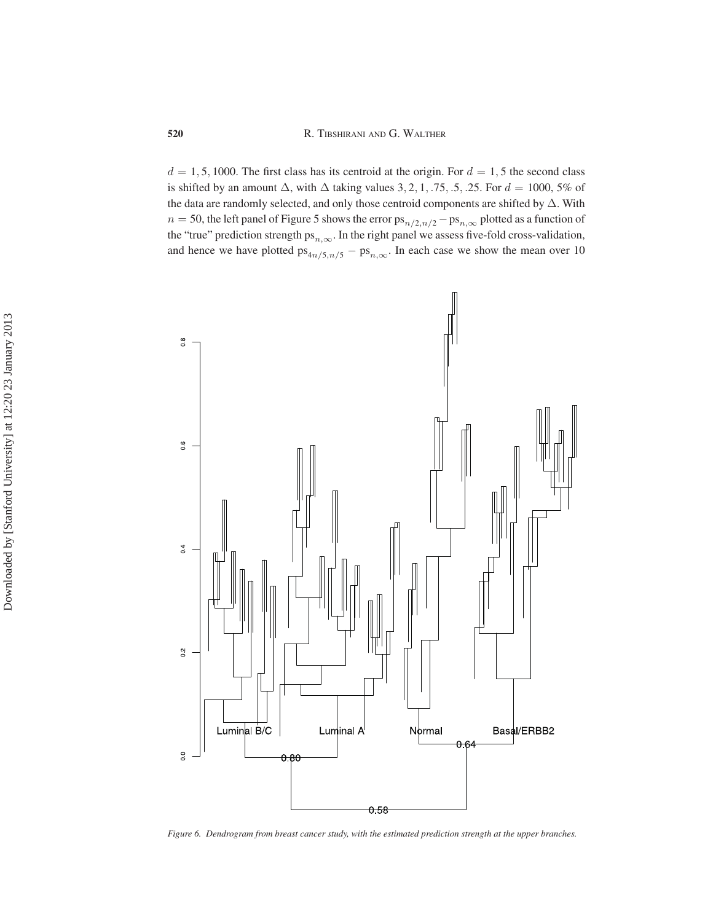$d = 1, 5, 1000$ . The first class has its centroid at the origin. For  $d = 1, 5$  the second class is shifted by an amount  $\Delta$ , with  $\Delta$  taking values 3, 2, 1, .75, .5, .25. For  $d = 1000$ , 5% of the data are randomly selected, and only those centroid components are shifted by Δ. With  $n = 50$ , the left panel of Figure 5 shows the error  $ps_{n/2,n/2} - ps_{n,\infty}$  plotted as a function of the "true" prediction strength ps<sub>n,∞</sub>. In the right panel we assess five-fold cross-validation, and hence we have plotted  $ps_{4n/5,n/5} - ps_{n,\infty}$ . In each case we show the mean over 10



*Figure 6. Dendrogram from breast cancer study, with the estimated prediction strength at the upper branches.*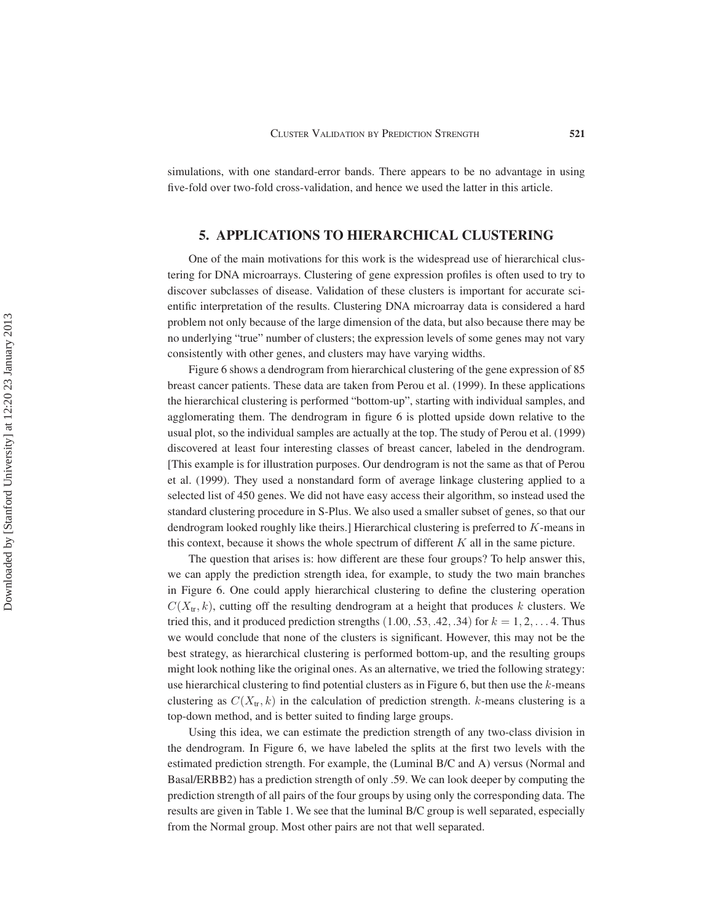simulations, with one standard-error bands. There appears to be no advantage in using five-fold over two-fold cross-validation, and hence we used the latter in this article.

#### **5. APPLICATIONS TO HIERARCHICAL CLUSTERING**

One of the main motivations for this work is the widespread use of hierarchical clustering for DNA microarrays. Clustering of gene expression profiles is often used to try to discover subclasses of disease. Validation of these clusters is important for accurate scientific interpretation of the results. Clustering DNA microarray data is considered a hard problem not only because of the large dimension of the data, but also because there may be no underlying "true" number of clusters; the expression levels of some genes may not vary consistently with other genes, and clusters may have varying widths.

Figure 6 shows a dendrogram from hierarchical clustering of the gene expression of 85 breast cancer patients. These data are taken from Perou et al. (1999). In these applications the hierarchical clustering is performed "bottom-up", starting with individual samples, and agglomerating them. The dendrogram in figure 6 is plotted upside down relative to the usual plot, so the individual samples are actually at the top. The study of Perou et al. (1999) discovered at least four interesting classes of breast cancer, labeled in the dendrogram. [This example is for illustration purposes. Our dendrogram is not the same as that of Perou et al. (1999). They used a nonstandard form of average linkage clustering applied to a selected list of 450 genes. We did not have easy access their algorithm, so instead used the standard clustering procedure in S-Plus. We also used a smaller subset of genes, so that our dendrogram looked roughly like theirs.] Hierarchical clustering is preferred to K-means in this context, because it shows the whole spectrum of different  $K$  all in the same picture.

The question that arises is: how different are these four groups? To help answer this, we can apply the prediction strength idea, for example, to study the two main branches in Figure 6. One could apply hierarchical clustering to define the clustering operation  $C(X_{tr}, k)$ , cutting off the resulting dendrogram at a height that produces k clusters. We tried this, and it produced prediction strengths  $(1.00, .53, .42, .34)$  for  $k = 1, 2, \ldots 4$ . Thus we would conclude that none of the clusters is significant. However, this may not be the best strategy, as hierarchical clustering is performed bottom-up, and the resulting groups might look nothing like the original ones. As an alternative, we tried the following strategy: use hierarchical clustering to find potential clusters as in Figure 6, but then use the  $k$ -means clustering as  $C(X_{tr}, k)$  in the calculation of prediction strength. k-means clustering is a top-down method, and is better suited to finding large groups.

Using this idea, we can estimate the prediction strength of any two-class division in the dendrogram. In Figure 6, we have labeled the splits at the first two levels with the estimated prediction strength. For example, the (Luminal B/C and A) versus (Normal and Basal/ERBB2) has a prediction strength of only .59. We can look deeper by computing the prediction strength of all pairs of the four groups by using only the corresponding data. The results are given in Table 1. We see that the luminal B/C group is well separated, especially from the Normal group. Most other pairs are not that well separated.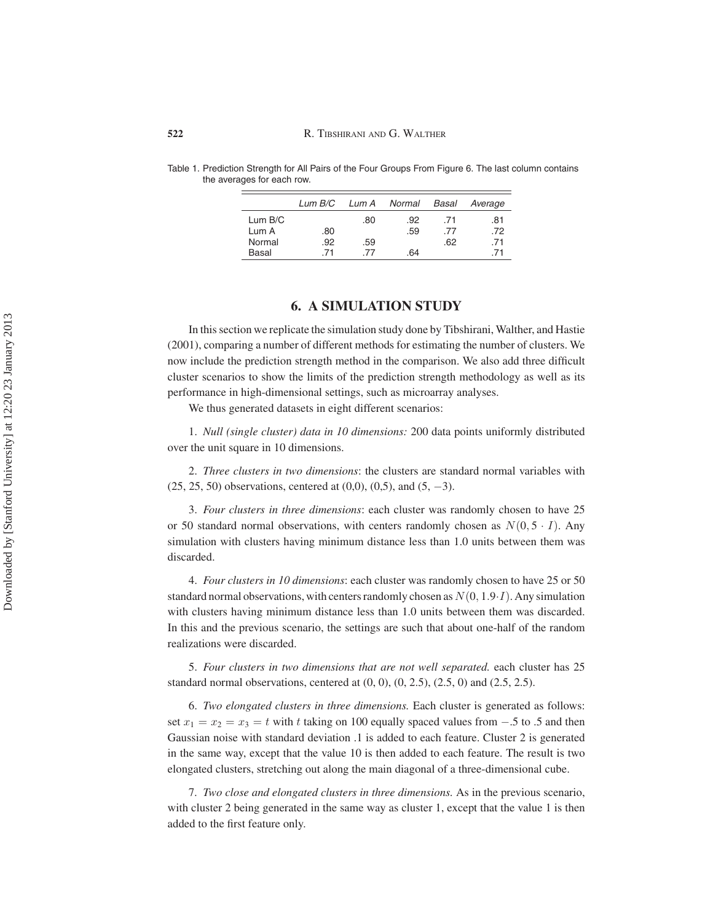|         |     |     | Lum B/C Lum A Normal Basal |     | Average |
|---------|-----|-----|----------------------------|-----|---------|
| Lum B/C |     | .80 | .92                        | .71 | .81     |
| Lum A   | .80 |     | .59                        | .77 | .72     |
| Normal  | .92 | .59 |                            | .62 | .71     |
| Basal   | -71 | 77  | .64                        |     | .71     |

Table 1. Prediction Strength for All Pairs of the Four Groups From Figure 6. The last column contains the averages for each row.

# **6. A SIMULATION STUDY**

In this section we replicate the simulation study done by Tibshirani, Walther, and Hastie (2001), comparing a number of different methods for estimating the number of clusters. We now include the prediction strength method in the comparison. We also add three difficult cluster scenarios to show the limits of the prediction strength methodology as well as its performance in high-dimensional settings, such as microarray analyses.

We thus generated datasets in eight different scenarios:

1. *Null (single cluster) data in 10 dimensions:* 200 data points uniformly distributed over the unit square in 10 dimensions.

2. *Three clusters in two dimensions*: the clusters are standard normal variables with  $(25, 25, 50)$  observations, centered at  $(0,0)$ ,  $(0,5)$ , and  $(5, -3)$ .

3. *Four clusters in three dimensions*: each cluster was randomly chosen to have 25 or 50 standard normal observations, with centers randomly chosen as  $N(0, 5 \cdot I)$ . Any simulation with clusters having minimum distance less than 1.0 units between them was discarded.

4. *Four clusters in 10 dimensions*: each cluster was randomly chosen to have 25 or 50 standard normal observations, with centers randomly chosen as  $N(0, 1.9 \cdot I)$ . Any simulation with clusters having minimum distance less than 1.0 units between them was discarded. In this and the previous scenario, the settings are such that about one-half of the random realizations were discarded.

5. *Four clusters in two dimensions that are not well separated.* each cluster has 25 standard normal observations, centered at  $(0, 0)$ ,  $(0, 2.5)$ ,  $(2.5, 0)$  and  $(2.5, 2.5)$ .

6. *Two elongated clusters in three dimensions.* Each cluster is generated as follows: set  $x_1 = x_2 = x_3 = t$  with t taking on 100 equally spaced values from −.5 to .5 and then Gaussian noise with standard deviation .1 is added to each feature. Cluster 2 is generated in the same way, except that the value 10 is then added to each feature. The result is two elongated clusters, stretching out along the main diagonal of a three-dimensional cube.

7. *Two close and elongated clusters in three dimensions.* As in the previous scenario, with cluster 2 being generated in the same way as cluster 1, except that the value 1 is then added to the first feature only.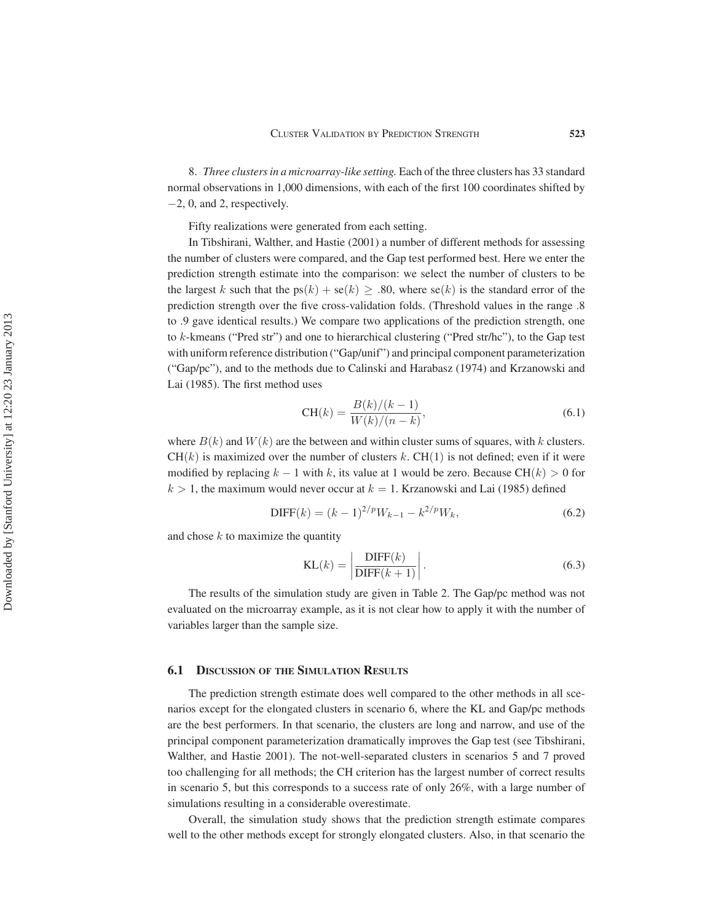8. *Three clusters in a microarray-like setting.* Each of the three clusters has 33 standard normal observations in 1,000 dimensions, with each of the first 100 coordinates shifted by −2, 0, and 2, respectively.

Fifty realizations were generated from each setting.

In Tibshirani, Walther, and Hastie (2001) a number of different methods for assessing the number of clusters were compared, and the Gap test performed best. Here we enter the prediction strength estimate into the comparison: we select the number of clusters to be the largest k such that the  $ps(k) + se(k) \geq .80$ , where  $se(k)$  is the standard error of the prediction strength over the five cross-validation folds. (Threshold values in the range .8 to .9 gave identical results.) We compare two applications of the prediction strength, one to k-kmeans ("Pred str") and one to hierarchical clustering ("Pred str/hc"), to the Gap test with uniform reference distribution ("Gap/unif") and principal component parameterization ("Gap/pc"), and to the methods due to Calinski and Harabasz (1974) and Krzanowski and Lai (1985). The first method uses

$$
CH(k) = \frac{B(k)/(k-1)}{W(k)/(n-k)},
$$
\n(6.1)

where  $B(k)$  and  $W(k)$  are the between and within cluster sums of squares, with k clusters.  $CH(k)$  is maximized over the number of clusters k. CH(1) is not defined; even if it were modified by replacing  $k-1$  with k, its value at 1 would be zero. Because CH $(k) > 0$  for  $k > 1$ , the maximum would never occur at  $k = 1$ . Krzanowski and Lai (1985) defined

$$
\text{DIFF}(k) = (k-1)^{2/p} W_{k-1} - k^{2/p} W_k,\tag{6.2}
$$

and chose  $k$  to maximize the quantity

$$
KL(k) = \left| \frac{DIFF(k)}{DIFF(k+1)} \right|.
$$
\n(6.3)

The results of the simulation study are given in Table 2. The Gap/pc method was not evaluated on the microarray example, as it is not clear how to apply it with the number of variables larger than the sample size.

#### **6.1 DISCUSSION OF THE SIMULATION RESULTS**

The prediction strength estimate does well compared to the other methods in all scenarios except for the elongated clusters in scenario 6, where the KL and Gap/pc methods are the best performers. In that scenario, the clusters are long and narrow, and use of the principal component parameterization dramatically improves the Gap test (see Tibshirani, Walther, and Hastie 2001). The not-well-separated clusters in scenarios 5 and 7 proved too challenging for all methods; the CH criterion has the largest number of correct results in scenario 5, but this corresponds to a success rate of only 26%, with a large number of simulations resulting in a considerable overestimate.

Overall, the simulation study shows that the prediction strength estimate compares well to the other methods except for strongly elongated clusters. Also, in that scenario the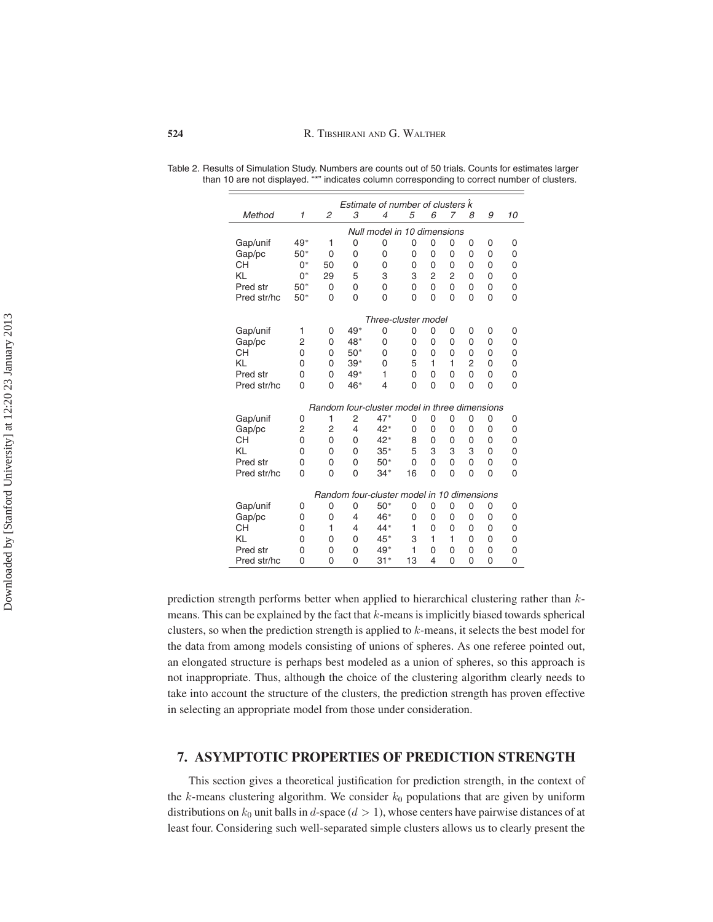|                                               | Estimate of number of clusters $\hat{k}$ |                |       |          |                |                |             |                |                |              |
|-----------------------------------------------|------------------------------------------|----------------|-------|----------|----------------|----------------|-------------|----------------|----------------|--------------|
| Method                                        | $\mathcal I$                             | 2              | 3     | 4        | 5              | 6              | 7           | 8              | 9              | 10           |
| Null model in 10 dimensions                   |                                          |                |       |          |                |                |             |                |                |              |
| Gap/unif                                      | 49*                                      | 1              | 0     | $\Omega$ | 0              | $\Omega$       | $\Omega$    | 0              | 0              | $\Omega$     |
| Gap/pc                                        | 50*                                      | $\Omega$       | 0     | $\Omega$ | 0              | $\Omega$       | 0           | 0              | 0              | 0            |
| <b>CH</b>                                     | $0^*$                                    | 50             | 0     | 0        | 0              | $\Omega$       | 0           | $\overline{0}$ | $\overline{0}$ | 0            |
| KL                                            | 0*                                       | 29             | 5     | 3        | 3              | $\overline{2}$ | 2           | 0              | 0              | 0            |
| Pred str                                      | $50*$                                    | $\mathbf 0$    | 0     | 0        | 0              | $\Omega$       | $\mathbf 0$ | 0              | 0              | 0            |
| Pred str/hc                                   | $50*$                                    | 0              | 0     | $\Omega$ | 0              | $\Omega$       | 0           | 0              | 0              | 0            |
|                                               | Three-cluster model                      |                |       |          |                |                |             |                |                |              |
| Gap/unif                                      | 1                                        | 0              | 49*   | 0        | 0              | 0              | 0           | 0              | 0              | 0            |
| Gap/pc                                        | $\overline{c}$                           | 0              | 48*   | 0        | 0              | $\Omega$       | 0           | 0              | 0              | 0            |
| <b>CH</b>                                     | $\overline{0}$                           | 0              | $50*$ | 0        | 0              | $\Omega$       | 0           | 0              | 0              | 0            |
| KL                                            | 0                                        | 0              | 39*   | 0        | 5              | 1              | 1           | 2              | 0              | 0            |
| Pred str                                      | $\Omega$                                 | 0              | 49*   | 1        | 0              | $\Omega$       | 0           | $\overline{0}$ | 0              | 0            |
| Pred str/hc                                   | $\overline{0}$                           | $\Omega$       | 46*   | 4        | $\overline{0}$ | $\Omega$       | $\Omega$    | $\overline{0}$ | $\Omega$       | $\mathbf{0}$ |
| Random four-cluster model in three dimensions |                                          |                |       |          |                |                |             |                |                |              |
|                                               |                                          |                |       |          |                |                |             |                |                |              |
| Gap/unif                                      | 0                                        | 1              | 2     | 47*      | 0              | 0              | 0           | 0              | 0              | 0            |
| Gap/pc                                        | 2                                        | $\overline{2}$ | 4     | 42*      | 0              | 0              | $\Omega$    | 0              | 0              | 0            |
| <b>CH</b>                                     | $\Omega$                                 | 0              | 0     | 42*      | 8              | $\Omega$       | 0           | 0              | $\Omega$       | 0            |
| KL                                            | 0                                        | 0              | 0     | $35*$    | 5              | 3              | 3           | 3              | 0              | 0            |
| Pred str                                      | $\Omega$                                 | 0              | 0     | $50*$    | $\mathbf{0}$   | $\Omega$       | 0           | 0              | 0              | 0            |
| Pred str/hc                                   | 0                                        | 0              | 0     | $34*$    | 16             | 0              | 0           | $\overline{0}$ | 0              | 0            |
| Random four-cluster model in 10 dimensions    |                                          |                |       |          |                |                |             |                |                |              |
| Gap/unif                                      | 0                                        | 0              | 0     | $50*$    | 0              | $\Omega$       | 0           | 0              | 0              | 0            |
| Gap/pc                                        | 0                                        | 0              | 4     | 46*      | 0              | $\Omega$       | 0           | 0              | 0              | 0            |
| CН                                            | 0                                        | 1              | 4     | 44*      | 1              | $\Omega$       | 0           | 0              | 0              | 0            |
| KL                                            | 0                                        | 0              | 0     | 45*      | 3              | 1              | 1           | 0              | 0              | 0            |
| Pred str                                      | 0                                        | 0              | 0     | 49*      | 1              | $\Omega$       | 0           | 0              | 0              | 0            |
| Pred str/hc                                   | $\overline{0}$                           | 0              | 0     | $31*$    | 13             | 4              | 0           | $\overline{0}$ | 0              | $\mathbf 0$  |

Table 2. Results of Simulation Study. Numbers are counts out of 50 trials. Counts for estimates larger than 10 are not displayed. "\*" indicates column corresponding to correct number of clusters.

prediction strength performs better when applied to hierarchical clustering rather than  $k$ means. This can be explained by the fact that  $k$ -means is implicitly biased towards spherical clusters, so when the prediction strength is applied to  $k$ -means, it selects the best model for the data from among models consisting of unions of spheres. As one referee pointed out, an elongated structure is perhaps best modeled as a union of spheres, so this approach is not inappropriate. Thus, although the choice of the clustering algorithm clearly needs to take into account the structure of the clusters, the prediction strength has proven effective in selecting an appropriate model from those under consideration.

### **7. ASYMPTOTIC PROPERTIES OF PREDICTION STRENGTH**

This section gives a theoretical justification for prediction strength, in the context of the k-means clustering algorithm. We consider  $k_0$  populations that are given by uniform distributions on  $k_0$  unit balls in d-space ( $d > 1$ ), whose centers have pairwise distances of at least four. Considering such well-separated simple clusters allows us to clearly present the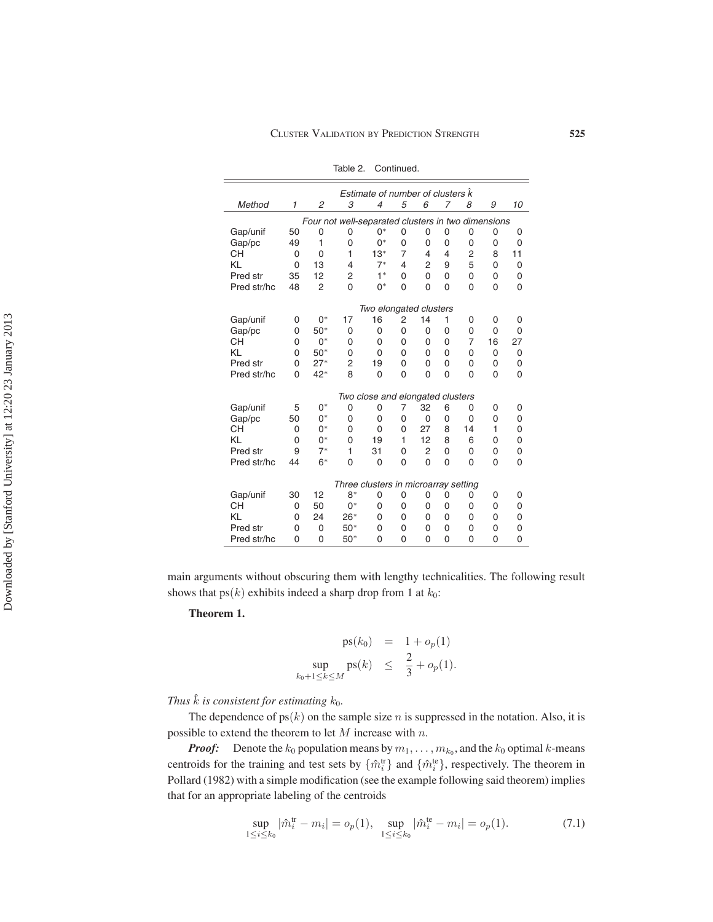|                                                    | Estimate of number of clusters k                                        |                |       |                                  |                |             |   |    |    |    |  |
|----------------------------------------------------|-------------------------------------------------------------------------|----------------|-------|----------------------------------|----------------|-------------|---|----|----|----|--|
| Method                                             | 1                                                                       | $\overline{c}$ | 3     | $\overline{\mathcal{A}}$         | 5              | 6           | 7 | 8  | 9  | 10 |  |
| Four not well-separated clusters in two dimensions |                                                                         |                |       |                                  |                |             |   |    |    |    |  |
| Gap/unif                                           | 50                                                                      | $\Omega$       | 0     | $0^*$                            | $\Omega$       | $\Omega$    | 0 | 0  | 0  | 0  |  |
| Gap/pc                                             | 49                                                                      | 1              | 0     | $0^*$                            | $\Omega$       | $\Omega$    | 0 | 0  | 0  | 0  |  |
| <b>CH</b>                                          | $\Omega$                                                                | 0              | 1     | $13*$                            | $\overline{7}$ | 4           | 4 | 2  | 8  | 11 |  |
| KL                                                 | $\Omega$                                                                | 13             | 4     | $7^*$                            | $\overline{4}$ | 2           | 9 | 5  | 0  | 0  |  |
| Pred str                                           | 35                                                                      | 12             | 2     | $1*$                             | $\Omega$       | $\mathbf 0$ | 0 | 0  | 0  | 0  |  |
| Pred str/hc                                        | 48                                                                      | $\overline{2}$ | 0     | $0^*$                            | $\Omega$       | $\Omega$    | 0 | 0  | 0  | 0  |  |
|                                                    |                                                                         |                |       |                                  |                |             |   |    |    |    |  |
| Gap/unif                                           | Two elongated clusters<br>16<br>14<br>0*<br>17<br>2<br>0<br>1<br>0<br>0 |                |       |                                  |                |             |   |    |    | 0  |  |
| Gap/pc                                             | 0                                                                       | 50*            | 0     | 0                                | 0              | $\Omega$    | 0 | 0  | 0  | 0  |  |
| <b>CH</b>                                          | 0                                                                       | 0*             | 0     | 0                                | 0              | $\Omega$    | 0 | 7  | 16 | 27 |  |
| KL                                                 | 0                                                                       | 50*            | 0     | 0                                | 0              | $\Omega$    | 0 | 0  | 0  | 0  |  |
| Pred str                                           | 0                                                                       | $27*$          | 2     | 19                               | 0              | $\Omega$    | 0 | 0  | 0  | 0  |  |
| Pred str/hc                                        | 0                                                                       | 42*            | 8     | 0                                | 0              | 0           | 0 | 0  | 0  | 0  |  |
|                                                    |                                                                         |                |       |                                  |                |             |   |    |    |    |  |
|                                                    |                                                                         |                |       | Two close and elongated clusters |                |             |   |    |    |    |  |
| Gap/unif                                           | 5                                                                       | $0^*$          | 0     | 0                                | 7              | 32          | 6 | 0  | 0  | 0  |  |
| Gap/pc                                             | 50                                                                      | 0*             | 0     | 0                                | $\Omega$       | $\Omega$    | 0 | 0  | 0  | 0  |  |
| <b>CH</b>                                          | 0                                                                       | 0*             | 0     | 0                                | 0              | 27          | 8 | 14 | 1  | 0  |  |
| KL                                                 | 0                                                                       | 0*             | 0     | 19                               | 1              | 12          | 8 | 6  | 0  | 0  |  |
| Pred str                                           | 9                                                                       | $7*$           | 1     | 31                               | 0              | 2           | 0 | 0  | 0  | 0  |  |
| Pred str/hc                                        | 44                                                                      | $6*$           | 0     | 0                                | 0              | $\mathbf 0$ | 0 | 0  | 0  | 0  |  |
|                                                    | Three clusters in microarray setting                                    |                |       |                                  |                |             |   |    |    |    |  |
| Gap/unif                                           | 30                                                                      | 12             | $8*$  | 0                                | 0              | 0           | 0 | 0  | 0  | 0  |  |
| CH                                                 | 0                                                                       | 50             | $0^*$ | 0                                | 0              | $\Omega$    | 0 | 0  | 0  | 0  |  |
| KL                                                 | $\Omega$                                                                | 24             | $26*$ | 0                                | 0              | 0           | 0 | 0  | 0  | 0  |  |
| Pred str                                           | $\Omega$                                                                | 0              | 50*   | 0                                | 0              | $\Omega$    | 0 | 0  | 0  | 0  |  |
| Pred str/hc                                        | $\Omega$                                                                | $\overline{0}$ | 50*   | 0                                | $\overline{0}$ | $\Omega$    | 0 | 0  | 0  | 0  |  |

Table 2. Continued.

main arguments without obscuring them with lengthy technicalities. The following result shows that  $ps(k)$  exhibits indeed a sharp drop from 1 at  $k_0$ :

#### **Theorem 1.**

$$
ps(k_0) = 1 + o_p(1)
$$
  
\n
$$
\sup_{k_0+1 \le k \le M} ps(k) \le \frac{2}{3} + o_p(1).
$$

# Thus  $\hat{k}$  is consistent for estimating  $k_0$ .

The dependence of  $ps(k)$  on the sample size n is suppressed in the notation. Also, it is possible to extend the theorem to let  $M$  increase with  $n$ .

*Proof:* Denote the  $k_0$  population means by  $m_1, \ldots, m_{k_0}$ , and the  $k_0$  optimal k-means centroids for the training and test sets by  $\{\hat{m}_i^{\text{tr}}\}$  and  $\{\hat{m}_i^{\text{te}}\}$ , respectively. The theorem in Pollard (1982) with a simple modification (see the example following said theorem) implies that for an appropriate labeling of the centroids

$$
\sup_{1 \le i \le k_0} |\hat{m}_i^{\text{tr}} - m_i| = o_p(1), \quad \sup_{1 \le i \le k_0} |\hat{m}_i^{\text{te}} - m_i| = o_p(1). \tag{7.1}
$$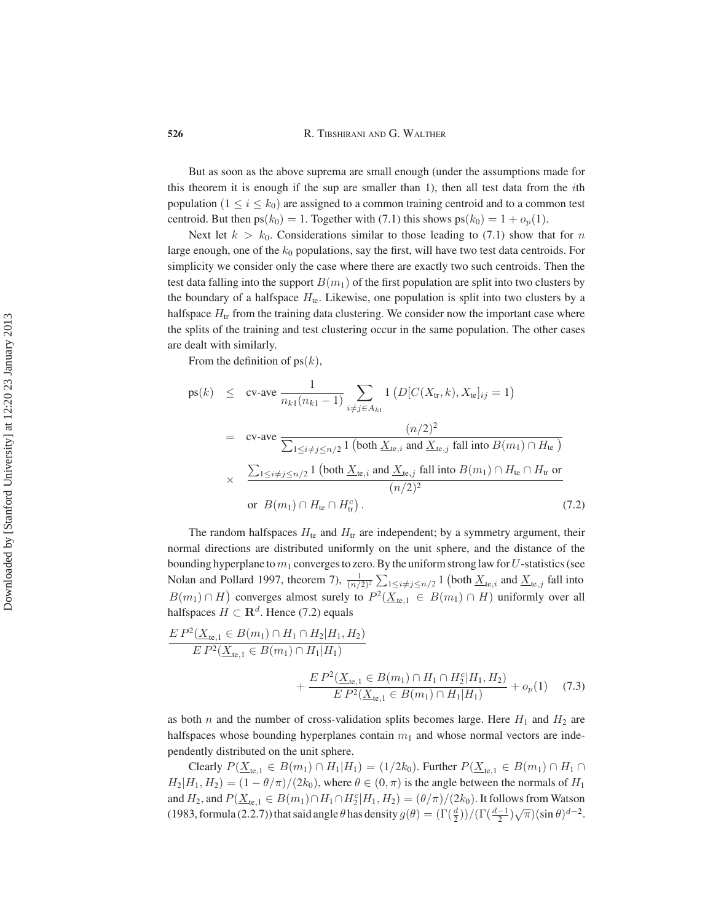But as soon as the above suprema are small enough (under the assumptions made for this theorem it is enough if the sup are smaller than 1), then all test data from the *i*th population  $(1 \le i \le k_0)$  are assigned to a common training centroid and to a common test centroid. But then  $ps(k_0) = 1$ . Together with (7.1) this shows  $ps(k_0) = 1 + o_p(1)$ .

Next let  $k > k_0$ . Considerations similar to those leading to (7.1) show that for n large enough, one of the  $k_0$  populations, say the first, will have two test data centroids. For simplicity we consider only the case where there are exactly two such centroids. Then the test data falling into the support  $B(m_1)$  of the first population are split into two clusters by the boundary of a halfspace  $H_{te}$ . Likewise, one population is split into two clusters by a halfspace  $H<sub>tr</sub>$  from the training data clustering. We consider now the important case where the splits of the training and test clustering occur in the same population. The other cases are dealt with similarly.

From the definition of  $ps(k)$ ,

$$
ps(k) \le c \n\text{v-ave } \frac{1}{n_{k1}(n_{k1} - 1)} \sum_{i \neq j \in A_{k1}} 1 \left( D[C(X_{tr}, k), X_{te}]_{ij} = 1 \right)
$$
\n
$$
= c \n\text{v-ave } \frac{(n/2)^2}{\sum_{1 \le i \neq j \le n/2} 1 \left( \text{both } \underline{X}_{te,i} \text{ and } \underline{X}_{te,j} \text{ fall into } B(m_1) \cap H_{te} \right)}
$$
\n
$$
\times \frac{\sum_{1 \le i \neq j \le n/2} 1 \left( \text{both } \underline{X}_{te,i} \text{ and } \underline{X}_{te,j} \text{ fall into } B(m_1) \cap H_{te} \cap H_{tr} \text{ or } (n/2)^2 \right)}{(n/2)^2}
$$
\n
$$
\text{or } B(m_1) \cap H_{te} \cap H_{tr}^c \text{ .}
$$
\n
$$
(7.2)
$$

The random halfspaces  $H_{te}$  and  $H_{tr}$  are independent; by a symmetry argument, their normal directions are distributed uniformly on the unit sphere, and the distance of the bounding hyperplane to  $m_1$  converges to zero. By the uniform strong law for  $U$ -statistics (see Nolan and Pollard 1997, theorem 7),  $\frac{1}{(n/2)^2} \sum_{1 \le i \ne j \le n/2} 1$  (both  $\underline{X}_{te,i}$  and  $\underline{X}_{te,j}$  fall into  $B(m_1) \cap H$ ) converges almost surely to  $P^2(\underline{X}_{te,1} \in B(m_1) \cap H)$  uniformly over all halfspaces  $H \subset \mathbf{R}^d$ . Hence (7.2) equals

$$
\frac{E P^2(\underline{X}_{te,1} \in B(m_1) \cap H_1 \cap H_2 | H_1, H_2)}{E P^2(\underline{X}_{te,1} \in B(m_1) \cap H_1 | H_1)} + \frac{E P^2(\underline{X}_{te,1} \in B(m_1) \cap H_1 \cap H_2^c | H_1, H_2)}{E P^2(\underline{X}_{te,1} \in B(m_1) \cap H_1 | H_1)} + o_p(1) \quad (7.3)
$$

as both *n* and the number of cross-validation splits becomes large. Here  $H_1$  and  $H_2$  are halfspaces whose bounding hyperplanes contain  $m_1$  and whose normal vectors are independently distributed on the unit sphere.

Clearly  $P(\underline{X}_{te,1} \in B(m_1) \cap H_1 | H_1) = (1/2k_0)$ . Further  $P(\underline{X}_{te,1} \in B(m_1) \cap H_1 \cap$  $H_2|H_1, H_2\rangle = (1 - \theta/\pi)/(2k_0)$ , where  $\theta \in (0, \pi)$  is the angle between the normals of  $H_1$ and  $H_2$ , and  $P(\underline{X}_{te,1} \in B(m_1) \cap H_1 \cap H_2^c | H_1, H_2) = (\theta/\pi)/(2k_0)$ . It follows from Watson (1983, formula (2.2.7)) that said angle  $\theta$  has density  $g(\theta) = (\Gamma(\frac{d}{2}))/(\Gamma(\frac{d-1}{2})\sqrt{\pi})(\sin \theta)^{d-2}$ .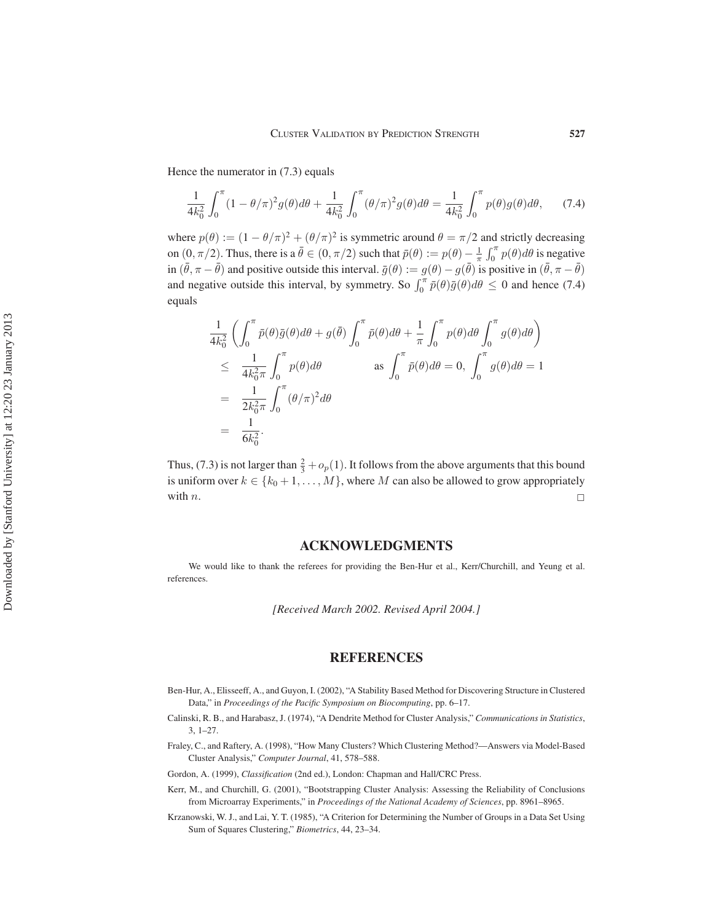Hence the numerator in (7.3) equals

$$
\frac{1}{4k_0^2} \int_0^{\pi} (1 - \theta/\pi)^2 g(\theta) d\theta + \frac{1}{4k_0^2} \int_0^{\pi} (\theta/\pi)^2 g(\theta) d\theta = \frac{1}{4k_0^2} \int_0^{\pi} p(\theta)g(\theta) d\theta, \tag{7.4}
$$

where  $p(\theta) := (1 - \theta/\pi)^2 + (\theta/\pi)^2$  is symmetric around  $\theta = \pi/2$  and strictly decreasing on  $(0, \pi/2)$ . Thus, there is a  $\bar{\theta} \in (0, \pi/2)$  such that  $\bar{p}(\theta) := p(\theta) - \frac{1}{\pi} \int_0^{\pi} p(\theta) d\theta$  is negative in  $(\bar{\theta}, \pi - \bar{\theta})$  and positive outside this interval.  $\bar{g}(\theta) := g(\theta) - g(\bar{\theta})$  is positive in  $(\bar{\theta}, \pi - \bar{\theta})$ and negative outside this interval, by symmetry. So  $\int_0^{\pi} \bar{p}(\theta) \bar{g}(\theta) d\theta \le 0$  and hence (7.4) equals

$$
\frac{1}{4k_0^2} \left( \int_0^{\pi} \bar{p}(\theta) \bar{g}(\theta) d\theta + g(\bar{\theta}) \int_0^{\pi} \bar{p}(\theta) d\theta + \frac{1}{\pi} \int_0^{\pi} p(\theta) d\theta \int_0^{\pi} g(\theta) d\theta \right) \n\leq \frac{1}{4k_0^2 \pi} \int_0^{\pi} p(\theta) d\theta \qquad \text{as } \int_0^{\pi} \bar{p}(\theta) d\theta = 0, \int_0^{\pi} g(\theta) d\theta = 1 \n= \frac{1}{2k_0^2 \pi} \int_0^{\pi} (\theta/\pi)^2 d\theta \n= \frac{1}{6k_0^2}.
$$

Thus, (7.3) is not larger than  $\frac{2}{3} + o_p(1)$ . It follows from the above arguments that this bound is uniform over  $k \in \{k_0 + 1, \ldots, M\}$ , where M can also be allowed to grow appropriately with  $n$ .

### **ACKNOWLEDGMENTS**

We would like to thank the referees for providing the Ben-Hur et al., Kerr/Churchill, and Yeung et al. references.

*[Received March 2002. Revised April 2004.]*

#### **REFERENCES**

- Ben-Hur, A., Elisseeff, A., and Guyon, I. (2002), "A Stability Based Method for Discovering Structure in Clustered Data," in *Proceedings of the Pacific Symposium on Biocomputing*, pp. 6–17.
- Calinski, R. B., and Harabasz, J. (1974), "A Dendrite Method for Cluster Analysis," *Communications in Statistics*, 3, 1–27.
- Fraley, C., and Raftery, A. (1998), "How Many Clusters? Which Clustering Method?—Answers via Model-Based Cluster Analysis," *Computer Journal*, 41, 578–588.

Gordon, A. (1999), *Classification* (2nd ed.), London: Chapman and Hall/CRC Press.

- Kerr, M., and Churchill, G. (2001), "Bootstrapping Cluster Analysis: Assessing the Reliability of Conclusions from Microarray Experiments," in *Proceedings of the National Academy of Sciences*, pp. 8961–8965.
- Krzanowski, W. J., and Lai, Y. T. (1985), "A Criterion for Determining the Number of Groups in a Data Set Using Sum of Squares Clustering," *Biometrics*, 44, 23–34.